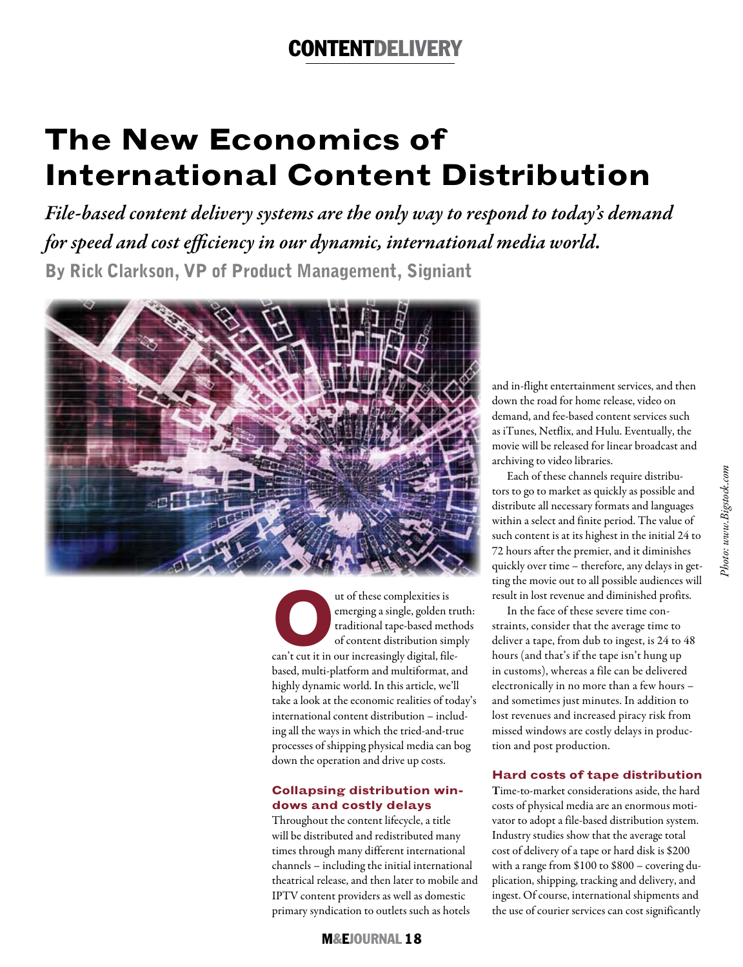# CoNTENTDElIVERy

# **The New Economics of International Content Distribution**

*File-based content delivery systems are the only way to respond to today's demand for speed and cost efficiency in our dynamic, international media world.* 

By Rick Clarkson, VP of Product Management, Signiant



ut of these complexities is<br>
emerging a single, golden tri<br>
traditional tape-based meth<br>
of content distribution sim<br>
can't cut it in our increasingly digital, fileemerging a single, golden truth: traditional tape-based methods of content distribution simply based, multi-platform and multiformat, and highly dynamic world. In this article, we'll take a look at the economic realities of today's international content distribution – including all the ways in which the tried-and-true processes of shipping physical media can bog down the operation and drive up costs.

### **Collapsing distribution windows and costly delays**

Throughout the content lifecycle, a title will be distributed and redistributed many times through many different international channels – including the initial international theatrical release, and then later to mobile and IPTV content providers as well as domestic primary syndication to outlets such as hotels

and in-flight entertainment services, and then down the road for home release, video on demand, and fee-based content services such as iTunes, Netflix, and Hulu. Eventually, the movie will be released for linear broadcast and archiving to video libraries.

Each of these channels require distributors to go to market as quickly as possible and distribute all necessary formats and languages within a select and finite period. The value of such content is at its highest in the initial 24 to 72 hours after the premier, and it diminishes quickly over time – therefore, any delays in getting the movie out to all possible audiences will result in lost revenue and diminished profits.

In the face of these severe time constraints, consider that the average time to deliver a tape, from dub to ingest, is 24 to 48 hours (and that's if the tape isn't hung up in customs), whereas a file can be delivered electronically in no more than a few hours – and sometimes just minutes. In addition to lost revenues and increased piracy risk from missed windows are costly delays in production and post production.

### **Hard costs of tape distribution**

Time-to-market considerations aside, the hard costs of physical media are an enormous motivator to adopt a file-based distribution system. Industry studies show that the average total cost of delivery of a tape or hard disk is \$200 with a range from \$100 to \$800 – covering duplication, shipping, tracking and delivery, and ingest. Of course, international shipments and the use of courier services can cost significantly

M&EJoURNal 18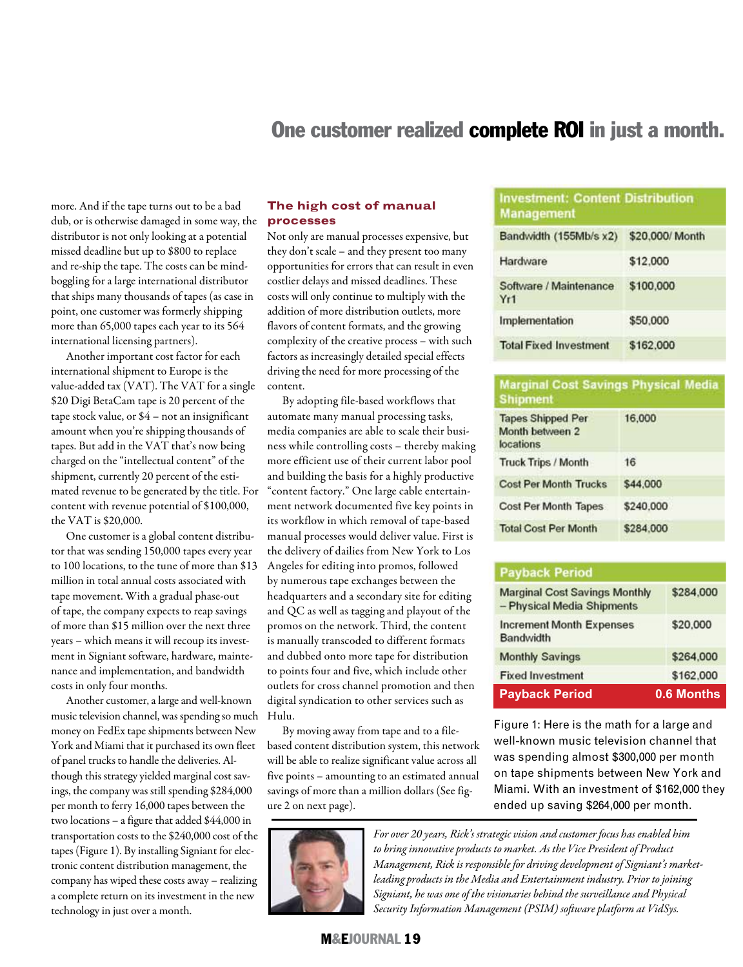# One customer realized complete ROI in just a month.

more. And if the tape turns out to be a bad dub, or is otherwise damaged in some way, the distributor is not only looking at a potential missed deadline but up to \$800 to replace and re-ship the tape. The costs can be mindboggling for a large international distributor that ships many thousands of tapes (as case in point, one customer was formerly shipping more than 65,000 tapes each year to its 564 international licensing partners).

Another important cost factor for each international shipment to Europe is the value-added tax (VAT). The VAT for a single \$20 Digi BetaCam tape is 20 percent of the tape stock value, or \$4 – not an insignificant amount when you're shipping thousands of tapes. But add in the VAT that's now being charged on the "intellectual content" of the shipment, currently 20 percent of the estimated revenue to be generated by the title. For content with revenue potential of \$100,000, the VAT is \$20,000.

One customer is a global content distributor that was sending 150,000 tapes every year to 100 locations, to the tune of more than \$13 million in total annual costs associated with tape movement. With a gradual phase-out of tape, the company expects to reap savings of more than \$15 million over the next three years – which means it will recoup its investment in Signiant software, hardware, maintenance and implementation, and bandwidth costs in only four months.

Another customer, a large and well-known music television channel, was spending so much money on FedEx tape shipments between New York and Miami that it purchased its own fleet of panel trucks to handle the deliveries. Although this strategy yielded marginal cost savings, the company was still spending \$284,000 per month to ferry 16,000 tapes between the two locations – a figure that added \$44,000 in transportation costs to the \$240,000 cost of the tapes (Figure 1). By installing Signiant for electronic content distribution management, the company has wiped these costs away – realizing a complete return on its investment in the new technology in just over a month.

#### **The high cost of manual processes**

Not only are manual processes expensive, but they don't scale – and they present too many opportunities for errors that can result in even costlier delays and missed deadlines. These costs will only continue to multiply with the addition of more distribution outlets, more flavors of content formats, and the growing complexity of the creative process – with such factors as increasingly detailed special effects driving the need for more processing of the content.

By adopting file-based workflows that automate many manual processing tasks, media companies are able to scale their business while controlling costs – thereby making more efficient use of their current labor pool and building the basis for a highly productive "content factory." One large cable entertainment network documented five key points in its workflow in which removal of tape-based manual processes would deliver value. First is the delivery of dailies from New York to Los Angeles for editing into promos, followed by numerous tape exchanges between the headquarters and a secondary site for editing and QC as well as tagging and playout of the promos on the network. Third, the content is manually transcoded to different formats and dubbed onto more tape for distribution to points four and five, which include other outlets for cross channel promotion and then digital syndication to other services such as Hulu.

By moving away from tape and to a filebased content distribution system, this network will be able to realize significant value across all five points – amounting to an estimated annual savings of more than a million dollars (See figure 2 on next page).



# **Investment: Content Distribution Management**

| Bandwidth (155Mb/s x2)        | \$20,000/ Month |
|-------------------------------|-----------------|
| Hardware                      | \$12,000        |
| Software / Maintenance<br>Yr1 | \$100,000       |
| Implementation                | \$50,000        |
| <b>Total Fixed Investment</b> | \$162,000       |

#### **Marginal Cost Savings Physical Media Shipment**

| 16,000    |  |
|-----------|--|
| 16        |  |
| \$44,000  |  |
| \$240,000 |  |
| \$284,000 |  |
|           |  |

# **Payback Period**

| <b>Payback Period</b>                                              | 0.6 Months |  |
|--------------------------------------------------------------------|------------|--|
| <b>Fixed Investment</b>                                            | \$162,000  |  |
| <b>Monthly Savings</b>                                             | \$264,000  |  |
| <b>Increment Month Expenses</b><br><b>Bandwidth</b>                | \$20,000   |  |
| <b>Marginal Cost Savings Monthly</b><br>- Physical Media Shipments | \$284,000  |  |

Figure 1: Here is the math for a large and well-known music television channel that was spending almost \$300,000 per month on tape shipments between New York and Miami. With an investment of \$162,000 they ended up saving \$264,000 per month.

*For over 20 years, Rick's strategic vision and customer focus has enabled him to bring innovative products to market. As the Vice President of Product Management, Rick is responsible for driving development of Signiant's marketleading products in the Media and Entertainment industry. Prior to joining Signiant, he was one of the visionaries behind the surveillance and Physical Security Information Management (PSIM) software platform at VidSys.*